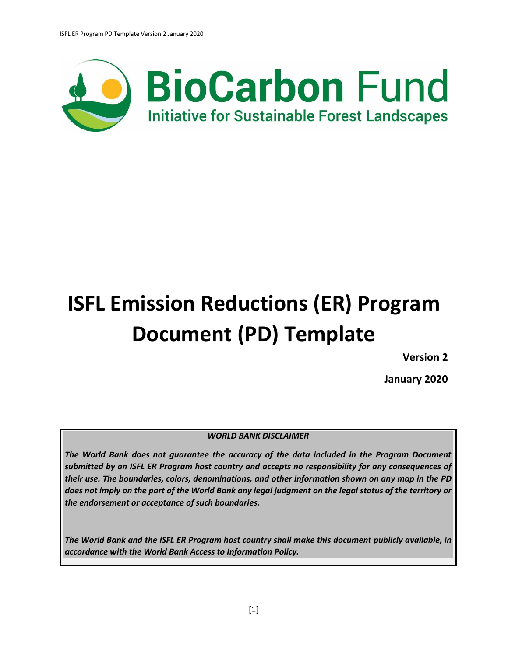

# **ISFL Emission Reductions (ER) Program Document (PD) Template**

**Version 2**

**January 2020**

### *WORLD BANK DISCLAIMER*

*The World Bank does not guarantee the accuracy of the data included in the Program Document submitted by an ISFL ER Program host country and accepts no responsibility for any consequences of their use. The boundaries, colors, denominations, and other information shown on any map in the PD does not imply on the part of the World Bank any legal judgment on the legal status of the territory or the endorsement or acceptance of such boundaries.* 

*The World Bank and the ISFL ER Program host country shall make this document publicly available, in accordance with the World Bank Access to Information Policy.*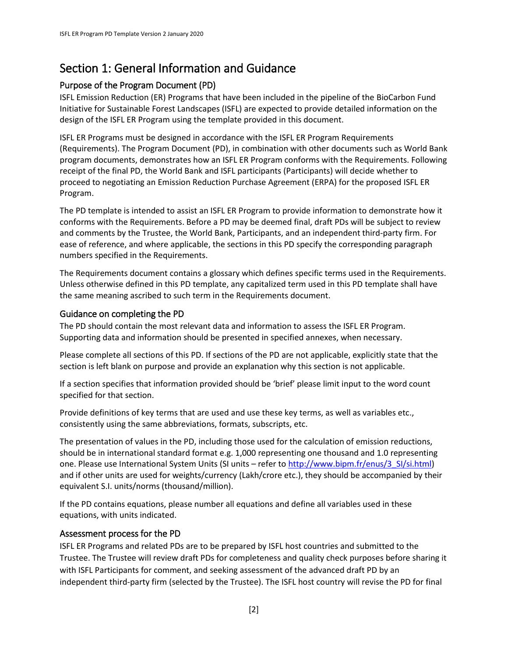# Section 1: General Information and Guidance

# Purpose of the Program Document (PD)

ISFL Emission Reduction (ER) Programs that have been included in the pipeline of the BioCarbon Fund Initiative for Sustainable Forest Landscapes (ISFL) are expected to provide detailed information on the design of the ISFL ER Program using the template provided in this document.

ISFL ER Programs must be designed in accordance with the ISFL ER Program Requirements (Requirements). The Program Document (PD), in combination with other documents such as World Bank program documents, demonstrates how an ISFL ER Program conforms with the Requirements. Following receipt of the final PD, the World Bank and ISFL participants (Participants) will decide whether to proceed to negotiating an Emission Reduction Purchase Agreement (ERPA) for the proposed ISFL ER Program.

The PD template is intended to assist an ISFL ER Program to provide information to demonstrate how it conforms with the Requirements. Before a PD may be deemed final, draft PDs will be subject to review and comments by the Trustee, the World Bank, Participants, and an independent third-party firm. For ease of reference, and where applicable, the sections in this PD specify the corresponding paragraph numbers specified in the Requirements.

The Requirements document contains a glossary which defines specific terms used in the Requirements. Unless otherwise defined in this PD template, any capitalized term used in this PD template shall have the same meaning ascribed to such term in the Requirements document.

### Guidance on completing the PD

The PD should contain the most relevant data and information to assess the ISFL ER Program. Supporting data and information should be presented in specified annexes, when necessary.

Please complete all sections of this PD. If sections of the PD are not applicable, explicitly state that the section is left blank on purpose and provide an explanation why this section is not applicable.

If a section specifies that information provided should be 'brief' please limit input to the word count specified for that section.

Provide definitions of key terms that are used and use these key terms, as well as variables etc., consistently using the same abbreviations, formats, subscripts, etc.

The presentation of values in the PD, including those used for the calculation of emission reductions, should be in international standard format e.g. 1,000 representing one thousand and 1.0 representing one. Please use International System Units (SI units – refer to http://www.bipm.fr/enus/3 SI/si.html) and if other units are used for weights/currency (Lakh/crore etc.), they should be accompanied by their equivalent S.I. units/norms (thousand/million).

If the PD contains equations, please number all equations and define all variables used in these equations, with units indicated.

### Assessment process for the PD

ISFL ER Programs and related PDs are to be prepared by ISFL host countries and submitted to the Trustee. The Trustee will review draft PDs for completeness and quality check purposes before sharing it with ISFL Participants for comment, and seeking assessment of the advanced draft PD by an independent third-party firm (selected by the Trustee). The ISFL host country will revise the PD for final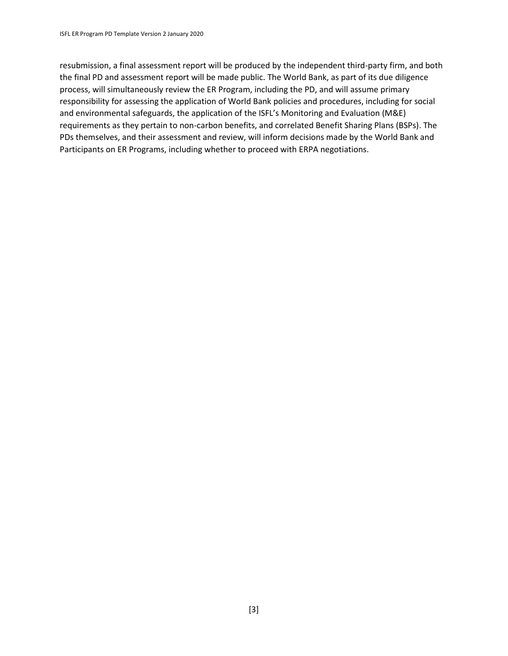resubmission, a final assessment report will be produced by the independent third-party firm, and both the final PD and assessment report will be made public. The World Bank, as part of its due diligence process, will simultaneously review the ER Program, including the PD, and will assume primary responsibility for assessing the application of World Bank policies and procedures, including for social and environmental safeguards, the application of the ISFL's Monitoring and Evaluation (M&E) requirements as they pertain to non-carbon benefits, and correlated Benefit Sharing Plans (BSPs). The PDs themselves, and their assessment and review, will inform decisions made by the World Bank and Participants on ER Programs, including whether to proceed with ERPA negotiations.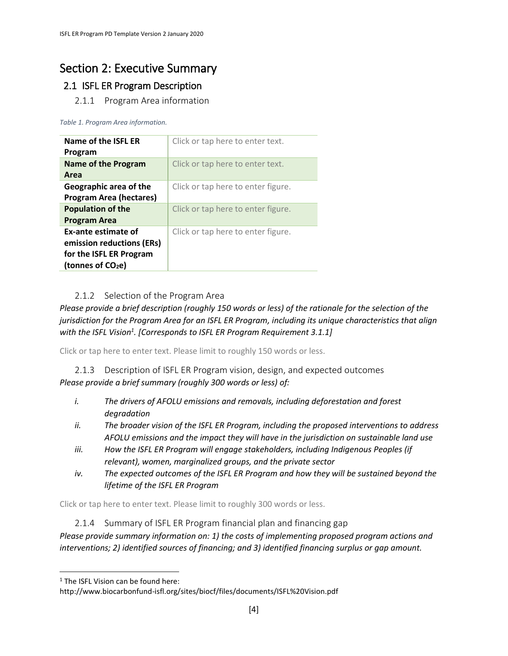# Section 2: Executive Summary

# 2.1 ISFL ER Program Description

2.1.1 Program Area information

*Table 1. Program Area information.*

| Name of the ISFL ER<br>Program                                                                               | Click or tap here to enter text.   |
|--------------------------------------------------------------------------------------------------------------|------------------------------------|
| Name of the Program<br>Area                                                                                  | Click or tap here to enter text.   |
| Geographic area of the<br><b>Program Area (hectares)</b>                                                     | Click or tap here to enter figure. |
| <b>Population of the</b><br><b>Program Area</b>                                                              | Click or tap here to enter figure. |
| Ex-ante estimate of<br>emission reductions (ERs)<br>for the ISFL ER Program<br>(tonnes of CO <sub>2</sub> e) | Click or tap here to enter figure. |

# 2.1.2 Selection of the Program Area

*Please provide a brief description (roughly 150 words or less) of the rationale for the selection of the jurisdiction for the Program Area for an ISFL ER Program, including its unique characteristics that align with the ISFL Vision<sup>1</sup> . [Corresponds to ISFL ER Program Requirement 3.1.1]*

Click or tap here to enter text. Please limit to roughly 150 words or less.

2.1.3 Description of ISFL ER Program vision, design, and expected outcomes *Please provide a brief summary (roughly 300 words or less) of:*

- *i. The drivers of AFOLU emissions and removals, including deforestation and forest degradation*
- *ii. The broader vision of the ISFL ER Program, including the proposed interventions to address AFOLU emissions and the impact they will have in the jurisdiction on sustainable land use*
- *iii. How the ISFL ER Program will engage stakeholders, including Indigenous Peoples (if relevant), women, marginalized groups, and the private sector*
- *iv. The expected outcomes of the ISFL ER Program and how they will be sustained beyond the lifetime of the ISFL ER Program*

Click or tap here to enter text. Please limit to roughly 300 words or less.

2.1.4 Summary of ISFL ER Program financial plan and financing gap

*Please provide summary information on: 1) the costs of implementing proposed program actions and interventions; 2) identified sources of financing; and 3) identified financing surplus or gap amount.*

 $\overline{\phantom{a}}$ 

 $1$  The ISFL Vision can be found here:

http://www.biocarbonfund-isfl.org/sites/biocf/files/documents/ISFL%20Vision.pdf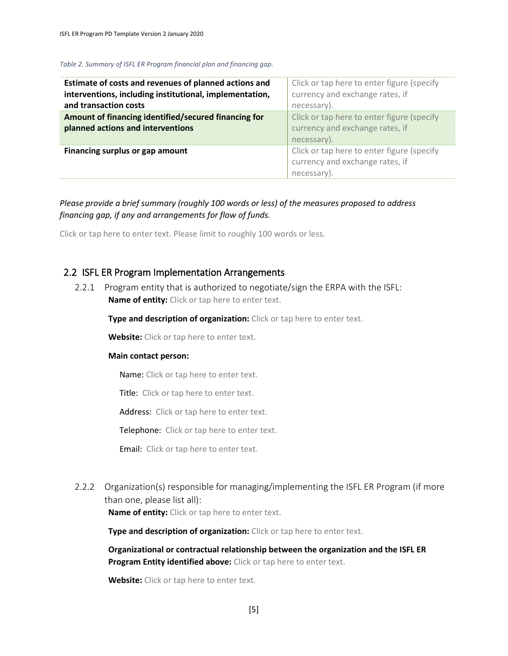*Table 2. Summary of ISFL ER Program financial plan and financing gap.*

| Estimate of costs and revenues of planned actions and<br>interventions, including institutional, implementation,<br>and transaction costs | Click or tap here to enter figure (specify<br>currency and exchange rates, if<br>necessary). |
|-------------------------------------------------------------------------------------------------------------------------------------------|----------------------------------------------------------------------------------------------|
| Amount of financing identified/secured financing for<br>planned actions and interventions                                                 | Click or tap here to enter figure (specify<br>currency and exchange rates, if<br>necessary). |
| Financing surplus or gap amount                                                                                                           | Click or tap here to enter figure (specify<br>currency and exchange rates, if<br>necessary). |

*Please provide a brief summary (roughly 100 words or less) of the measures proposed to address financing gap, if any and arrangements for flow of funds.* 

Click or tap here to enter text. Please limit to roughly 100 words or less.

#### 2.2 ISFL ER Program Implementation Arrangements

2.2.1 Program entity that is authorized to negotiate/sign the ERPA with the ISFL: **Name of entity:** Click or tap here to enter text.

**Type and description of organization:** Click or tap here to enter text.

**Website:** Click or tap here to enter text.

#### **Main contact person:**

Name: Click or tap here to enter text.

Title: Click or tap here to enter text.

Address: Click or tap here to enter text.

Telephone: Click or tap here to enter text.

Email: Click or tap here to enter text.

2.2.2 Organization(s) responsible for managing/implementing the ISFL ER Program (if more than one, please list all):

**Name of entity:** Click or tap here to enter text.

**Type and description of organization:** Click or tap here to enter text.

**Organizational or contractual relationship between the organization and the ISFL ER Program Entity identified above:** Click or tap here to enter text.

**Website:** Click or tap here to enter text.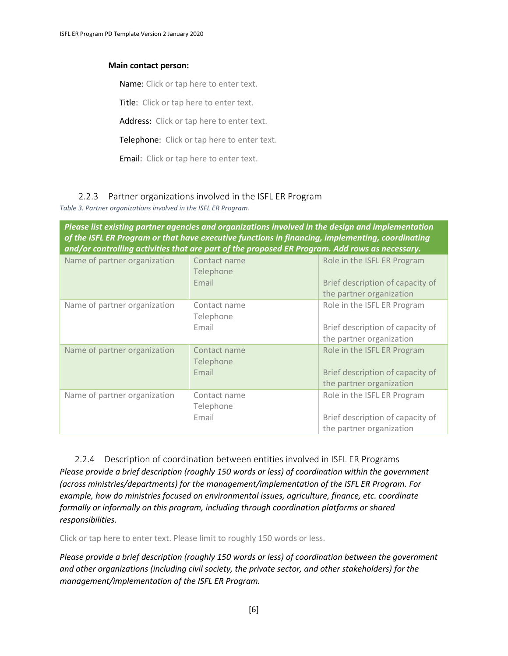#### **Main contact person:**

Name: Click or tap here to enter text.

Title: Click or tap here to enter text.

Address: Click or tap here to enter text.

Telephone: Click or tap here to enter text.

Email: Click or tap here to enter text.

#### 2.2.3 Partner organizations involved in the ISFL ER Program

*Table 3. Partner organizations involved in the ISFL ER Program.*

*Please list existing partner agencies and organizations involved in the design and implementation of the ISFL ER Program or that have executive functions in financing, implementing, coordinating and/or controlling activities that are part of the proposed ER Program. Add rows as necessary.*

| Name of partner organization | Contact name<br>Telephone<br>Email | Role in the ISFL ER Program<br>Brief description of capacity of<br>the partner organization |
|------------------------------|------------------------------------|---------------------------------------------------------------------------------------------|
| Name of partner organization | Contact name<br>Telephone<br>Email | Role in the ISFL ER Program<br>Brief description of capacity of<br>the partner organization |
| Name of partner organization | Contact name<br>Telephone<br>Email | Role in the ISFL ER Program<br>Brief description of capacity of<br>the partner organization |
| Name of partner organization | Contact name<br>Telephone<br>Email | Role in the ISFL ER Program<br>Brief description of capacity of<br>the partner organization |

2.2.4 Description of coordination between entities involved in ISFL ER Programs *Please provide a brief description (roughly 150 words or less) of coordination within the government (across ministries/departments) for the management/implementation of the ISFL ER Program. For example, how do ministries focused on environmental issues, agriculture, finance, etc. coordinate formally or informally on this program, including through coordination platforms or shared responsibilities.*

Click or tap here to enter text. Please limit to roughly 150 words or less.

*Please provide a brief description (roughly 150 words or less) of coordination between the government and other organizations (including civil society, the private sector, and other stakeholders) for the management/implementation of the ISFL ER Program.*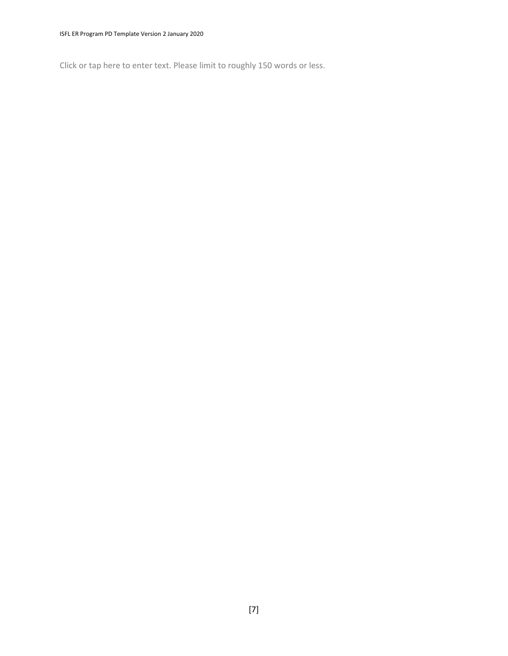Click or tap here to enter text. Please limit to roughly 150 words or less.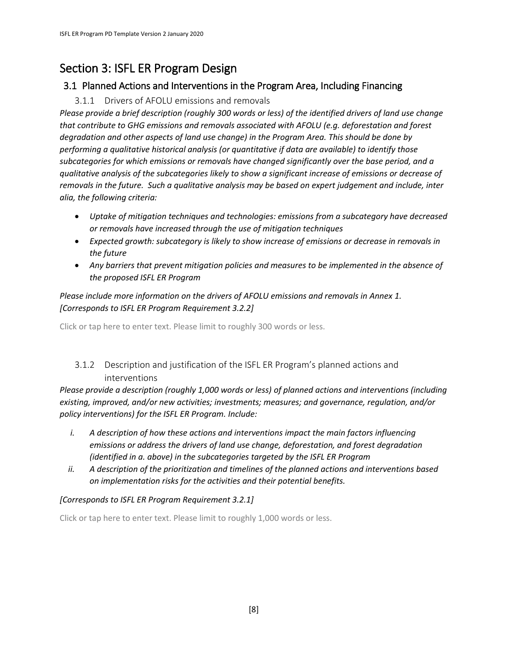# Section 3: ISFL ER Program Design

# 3.1 Planned Actions and Interventions in the Program Area, Including Financing

# 3.1.1 Drivers of AFOLU emissions and removals

*Please provide a brief description (roughly 300 words or less) of the identified drivers of land use change that contribute to GHG emissions and removals associated with AFOLU (e.g. deforestation and forest degradation and other aspects of land use change) in the Program Area. This should be done by performing a qualitative historical analysis (or quantitative if data are available) to identify those subcategories for which emissions or removals have changed significantly over the base period, and a qualitative analysis of the subcategories likely to show a significant increase of emissions or decrease of removals in the future. Such a qualitative analysis may be based on expert judgement and include, inter alia, the following criteria:*

- *Uptake of mitigation techniques and technologies: emissions from a subcategory have decreased or removals have increased through the use of mitigation techniques*
- *Expected growth: subcategory is likely to show increase of emissions or decrease in removals in the future*
- *Any barriers that prevent mitigation policies and measures to be implemented in the absence of the proposed ISFL ER Program*

### *Please include more information on the drivers of AFOLU emissions and removals in Annex 1. [Corresponds to ISFL ER Program Requirement 3.2.2]*

Click or tap here to enter text. Please limit to roughly 300 words or less.

# 3.1.2 Description and justification of the ISFL ER Program's planned actions and interventions

*Please provide a description (roughly 1,000 words or less) of planned actions and interventions (including existing, improved, and/or new activities; investments; measures; and governance, regulation, and/or policy interventions) for the ISFL ER Program. Include:*

- *i. A description of how these actions and interventions impact the main factors influencing emissions or address the drivers of land use change, deforestation, and forest degradation (identified in a. above) in the subcategories targeted by the ISFL ER Program*
- *ii. A description of the prioritization and timelines of the planned actions and interventions based on implementation risks for the activities and their potential benefits.*

### *[Corresponds to ISFL ER Program Requirement 3.2.1]*

Click or tap here to enter text. Please limit to roughly 1,000 words or less.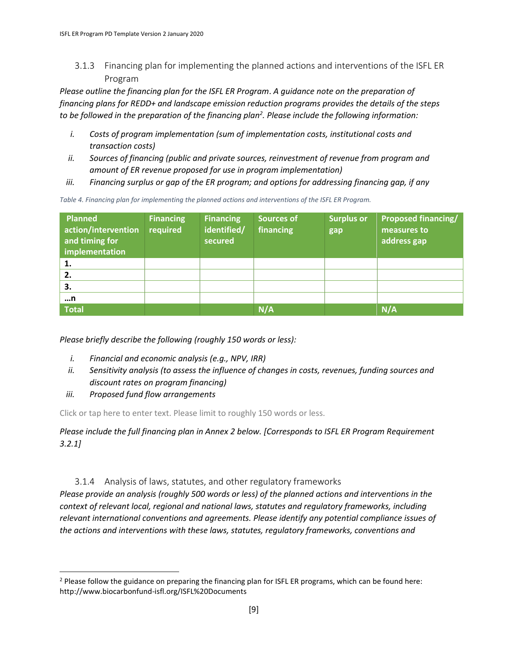3.1.3 Financing plan for implementing the planned actions and interventions of the ISFL ER Program

*Please outline the financing plan for the ISFL ER Program*. *A guidance note on the preparation of financing plans for REDD+ and landscape emission reduction programs provides the details of the steps to be followed in the preparation of the financing plan<sup>2</sup> . Please include the following information:*

- *i. Costs of program implementation (sum of implementation costs, institutional costs and transaction costs)*
- *ii. Sources of financing (public and private sources, reinvestment of revenue from program and amount of ER revenue proposed for use in program implementation)*
- *iii. Financing surplus or gap of the ER program; and options for addressing financing gap, if any*

*Table 4. Financing plan for implementing the planned actions and interventions of the ISFL ER Program.*

| <b>Planned</b><br>action/intervention<br>and timing for<br>implementation | <b>Financing</b><br>required | <b>Financing</b><br>identified/<br>secured | <b>Sources of</b><br>financing | <b>Surplus or</b><br>gap | <b>Proposed financing/</b><br>measures to<br>address gap |
|---------------------------------------------------------------------------|------------------------------|--------------------------------------------|--------------------------------|--------------------------|----------------------------------------------------------|
| 1.                                                                        |                              |                                            |                                |                          |                                                          |
| 2.                                                                        |                              |                                            |                                |                          |                                                          |
| 3.                                                                        |                              |                                            |                                |                          |                                                          |
| n                                                                         |                              |                                            |                                |                          |                                                          |
| <b>Total</b>                                                              |                              |                                            | N/A                            |                          | N/A                                                      |

*Please briefly describe the following (roughly 150 words or less):*

- *i. Financial and economic analysis (e.g., NPV, IRR)*
- *ii. Sensitivity analysis (to assess the influence of changes in costs, revenues, funding sources and discount rates on program financing)*
- *iii. Proposed fund flow arrangements*

 $\overline{\phantom{a}}$ 

Click or tap here to enter text. Please limit to roughly 150 words or less.

*Please include the full financing plan in Annex 2 below. [Corresponds to ISFL ER Program Requirement 3.2.1]*

### 3.1.4 Analysis of laws, statutes, and other regulatory frameworks

*Please provide an analysis (roughly 500 words or less) of the planned actions and interventions in the context of relevant local, regional and national laws, statutes and regulatory frameworks, including relevant international conventions and agreements. Please identify any potential compliance issues of the actions and interventions with these laws, statutes, regulatory frameworks, conventions and* 

 $<sup>2</sup>$  Please follow the guidance on preparing the financing plan for ISFL ER programs, which can be found here:</sup> http://www.biocarbonfund-isfl.org/ISFL%20Documents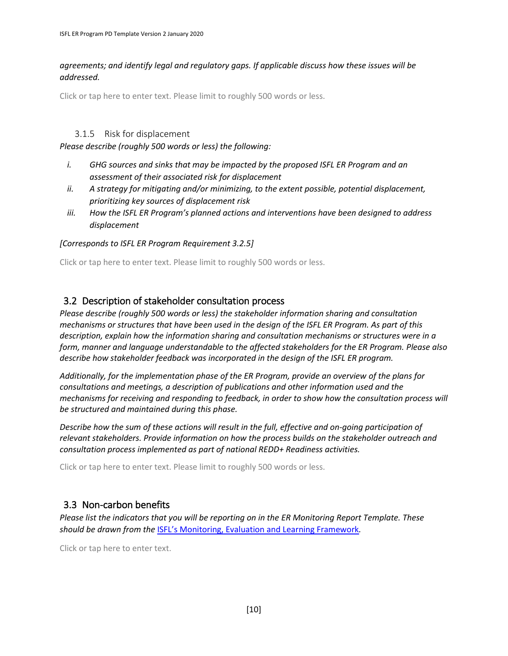*agreements; and identify legal and regulatory gaps. If applicable discuss how these issues will be addressed.*

Click or tap here to enter text. Please limit to roughly 500 words or less.

#### 3.1.5 Risk for displacement

*Please describe (roughly 500 words or less) the following:*

- *i. GHG sources and sinks that may be impacted by the proposed ISFL ER Program and an assessment of their associated risk for displacement*
- *ii. A strategy for mitigating and/or minimizing, to the extent possible, potential displacement, prioritizing key sources of displacement risk*
- *iii. How the ISFL ER Program's planned actions and interventions have been designed to address displacement*

#### *[Corresponds to ISFL ER Program Requirement 3.2.5]*

Click or tap here to enter text. Please limit to roughly 500 words or less.

# 3.2 Description of stakeholder consultation process

*Please describe (roughly 500 words or less) the stakeholder information sharing and consultation mechanisms or structures that have been used in the design of the ISFL ER Program. As part of this description, explain how the information sharing and consultation mechanisms or structures were in a form, manner and language understandable to the affected stakeholders for the ER Program. Please also describe how stakeholder feedback was incorporated in the design of the ISFL ER program.*

*Additionally, for the implementation phase of the ER Program, provide an overview of the plans for consultations and meetings, a description of publications and other information used and the mechanisms for receiving and responding to feedback, in order to show how the consultation process will be structured and maintained during this phase.* 

*Describe how the sum of these actions will result in the full, effective and on-going participation of relevant stakeholders. Provide information on how the process builds on the stakeholder outreach and consultation process implemented as part of national REDD+ Readiness activities.* 

Click or tap here to enter text. Please limit to roughly 500 words or less.

# 3.3 Non-carbon benefits

*Please list the indicators that you will be reporting on in the ER Monitoring Report Template. These should be drawn from the* [ISFL's Monitoring, Evaluation and Learning Framework](https://www.biocarbonfund-isfl.org/ISFL%20Documents)*.*

Click or tap here to enter text.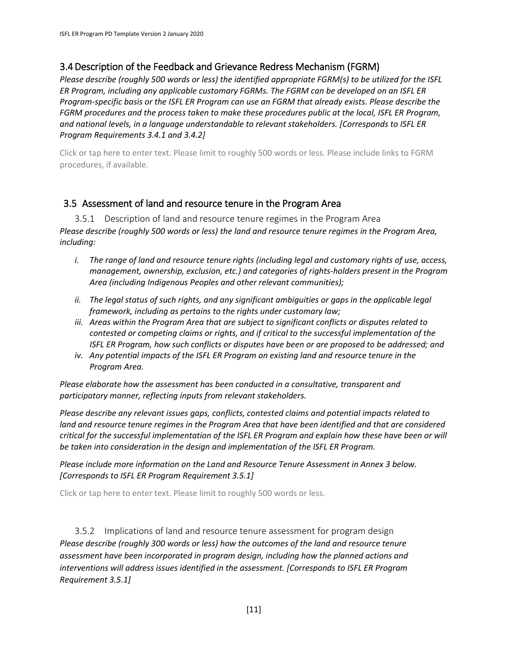# 3.4Description of the Feedback and Grievance Redress Mechanism (FGRM)

*Please describe (roughly 500 words or less) the identified appropriate FGRM(s) to be utilized for the ISFL ER Program, including any applicable customary FGRMs. The FGRM can be developed on an ISFL ER Program-specific basis or the ISFL ER Program can use an FGRM that already exists. Please describe the FGRM procedures and the process taken to make these procedures public at the local, ISFL ER Program, and national levels, in a language understandable to relevant stakeholders. [Corresponds to ISFL ER Program Requirements 3.4.1 and 3.4.2]*

Click or tap here to enter text. Please limit to roughly 500 words or less. Please include links to FGRM procedures, if available.

# 3.5 Assessment of land and resource tenure in the Program Area

3.5.1 Description of land and resource tenure regimes in the Program Area *Please describe (roughly 500 words or less) the land and resource tenure regimes in the Program Area, including:* 

- *i. The range of land and resource tenure rights (including legal and customary rights of use, access, management, ownership, exclusion, etc.) and categories of rights-holders present in the Program Area (including Indigenous Peoples and other relevant communities);*
- *ii. The legal status of such rights, and any significant ambiguities or gaps in the applicable legal framework, including as pertains to the rights under customary law;*
- *iii. Areas within the Program Area that are subject to significant conflicts or disputes related to contested or competing claims or rights, and if critical to the successful implementation of the ISFL ER Program, how such conflicts or disputes have been or are proposed to be addressed; and*
- *iv. Any potential impacts of the ISFL ER Program on existing land and resource tenure in the Program Area.*

*Please elaborate how the assessment has been conducted in a consultative, transparent and participatory manner, reflecting inputs from relevant stakeholders.*

*Please describe any relevant issues gaps, conflicts, contested claims and potential impacts related to land and resource tenure regimes in the Program Area that have been identified and that are considered critical for the successful implementation of the ISFL ER Program and explain how these have been or will be taken into consideration in the design and implementation of the ISFL ER Program.* 

*Please include more information on the Land and Resource Tenure Assessment in Annex 3 below. [Corresponds to ISFL ER Program Requirement 3.5.1]*

Click or tap here to enter text. Please limit to roughly 500 words or less.

3.5.2 Implications of land and resource tenure assessment for program design *Please describe (roughly 300 words or less) how the outcomes of the land and resource tenure assessment have been incorporated in program design, including how the planned actions and interventions will address issues identified in the assessment. [Corresponds to ISFL ER Program Requirement 3.5.1]*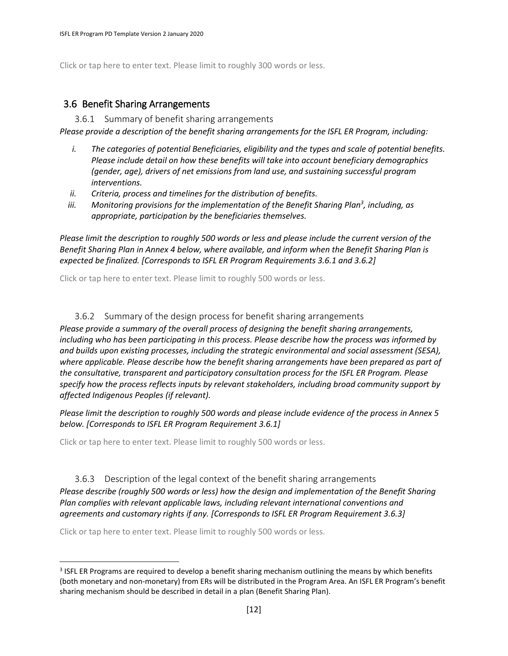Click or tap here to enter text. Please limit to roughly 300 words or less.

### 3.6 Benefit Sharing Arrangements

3.6.1 Summary of benefit sharing arrangements

*Please provide a description of the benefit sharing arrangements for the ISFL ER Program, including:*

- *i. The categories of potential Beneficiaries, eligibility and the types and scale of potential benefits. Please include detail on how these benefits will take into account beneficiary demographics (gender, age), drivers of net emissions from land use, and sustaining successful program interventions.*
- *ii. Criteria, process and timelines for the distribution of benefits.*
- iii. Monitoring provisions for the implementation of the Benefit Sharing Plan<sup>3</sup>, including, as *appropriate, participation by the beneficiaries themselves.*

*Please limit the description to roughly 500 words or less and please include the current version of the Benefit Sharing Plan in Annex 4 below, where available, and inform when the Benefit Sharing Plan is expected be finalized. [Corresponds to ISFL ER Program Requirements 3.6.1 and 3.6.2]*

Click or tap here to enter text. Please limit to roughly 500 words or less.

#### 3.6.2 Summary of the design process for benefit sharing arrangements

*Please provide a summary of the overall process of designing the benefit sharing arrangements, including who has been participating in this process. Please describe how the process was informed by and builds upon existing processes, including the strategic environmental and social assessment (SESA), where applicable. Please describe how the benefit sharing arrangements have been prepared as part of the consultative, transparent and participatory consultation process for the ISFL ER Program. Please specify how the process reflects inputs by relevant stakeholders, including broad community support by affected Indigenous Peoples (if relevant).*

*Please limit the description to roughly 500 words and please include evidence of the process in Annex 5 below. [Corresponds to ISFL ER Program Requirement 3.6.1]*

Click or tap here to enter text. Please limit to roughly 500 words or less.

3.6.3 Description of the legal context of the benefit sharing arrangements *Please describe (roughly 500 words or less) how the design and implementation of the Benefit Sharing Plan complies with relevant applicable laws, including relevant international conventions and agreements and customary rights if any. [Corresponds to ISFL ER Program Requirement 3.6.3]*

Click or tap here to enter text. Please limit to roughly 500 words or less.

 $\overline{a}$ 

<sup>&</sup>lt;sup>3</sup> ISFL ER Programs are required to develop a benefit sharing mechanism outlining the means by which benefits (both monetary and non-monetary) from ERs will be distributed in the Program Area. An ISFL ER Program's benefit sharing mechanism should be described in detail in a plan (Benefit Sharing Plan).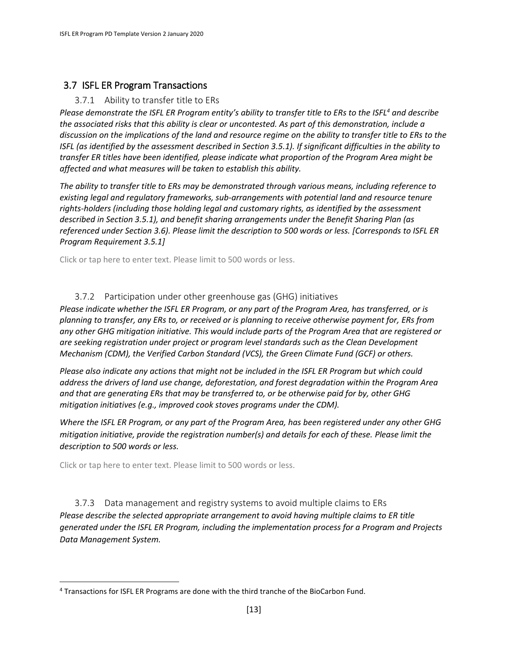# 3.7 ISFL ER Program Transactions

#### 3.7.1 Ability to transfer title to ERs

*Please demonstrate the ISFL ER Program entity's ability to transfer title to ERs to the ISFL<sup>4</sup> and describe the associated risks that this ability is clear or uncontested. As part of this demonstration, include a discussion on the implications of the land and resource regime on the ability to transfer title to ERs to the ISFL (as identified by the assessment described in Section 3.5.1). If significant difficulties in the ability to transfer ER titles have been identified, please indicate what proportion of the Program Area might be affected and what measures will be taken to establish this ability.*

*The ability to transfer title to ERs may be demonstrated through various means, including reference to existing legal and regulatory frameworks, sub-arrangements with potential land and resource tenure rights-holders (including those holding legal and customary rights, as identified by the assessment described in Section 3.5.1), and benefit sharing arrangements under the Benefit Sharing Plan (as referenced under Section 3.6). Please limit the description to 500 words or less. [Corresponds to ISFL ER Program Requirement 3.5.1]*

Click or tap here to enter text. Please limit to 500 words or less.

#### 3.7.2 Participation under other greenhouse gas (GHG) initiatives

*Please indicate whether the ISFL ER Program, or any part of the Program Area, has transferred, or is planning to transfer, any ERs to, or received or is planning to receive otherwise payment for, ERs from any other GHG mitigation initiative. This would include parts of the Program Area that are registered or are seeking registration under project or program level standards such as the Clean Development Mechanism (CDM), the Verified Carbon Standard (VCS), the Green Climate Fund (GCF) or others.* 

*Please also indicate any actions that might not be included in the ISFL ER Program but which could address the drivers of land use change, deforestation, and forest degradation within the Program Area and that are generating ERs that may be transferred to, or be otherwise paid for by, other GHG mitigation initiatives (e.g., improved cook stoves programs under the CDM).*

*Where the ISFL ER Program, or any part of the Program Area, has been registered under any other GHG mitigation initiative, provide the registration number(s) and details for each of these. Please limit the description to 500 words or less.*

Click or tap here to enter text. Please limit to 500 words or less.

 $\overline{a}$ 

3.7.3 Data management and registry systems to avoid multiple claims to ERs *Please describe the selected appropriate arrangement to avoid having multiple claims to ER title generated under the ISFL ER Program, including the implementation process for a Program and Projects Data Management System.* 

<sup>4</sup> Transactions for ISFL ER Programs are done with the third tranche of the BioCarbon Fund.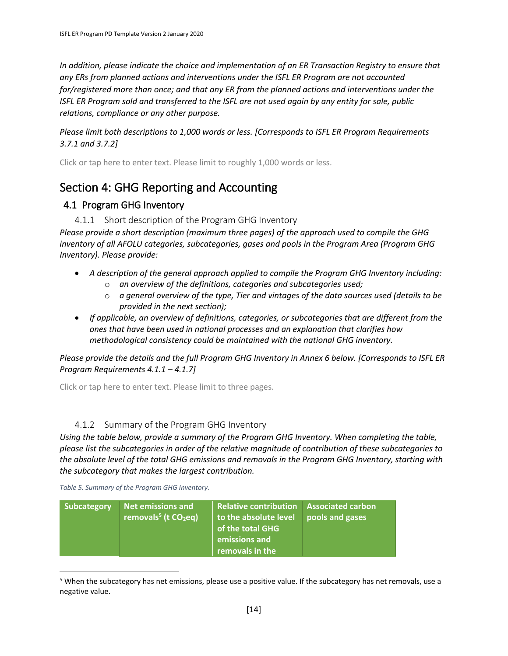*In addition, please indicate the choice and implementation of an ER Transaction Registry to ensure that any ERs from planned actions and interventions under the ISFL ER Program are not accounted for/registered more than once; and that any ER from the planned actions and interventions under the ISFL ER Program sold and transferred to the ISFL are not used again by any entity for sale, public relations, compliance or any other purpose.* 

*Please limit both descriptions to 1,000 words or less. [Corresponds to ISFL ER Program Requirements 3.7.1 and 3.7.2]*

Click or tap here to enter text. Please limit to roughly 1,000 words or less.

# Section 4: GHG Reporting and Accounting

# 4.1 Program GHG Inventory

#### 4.1.1 Short description of the Program GHG Inventory

*Please provide a short description (maximum three pages) of the approach used to compile the GHG inventory of all AFOLU categories, subcategories, gases and pools in the Program Area (Program GHG Inventory). Please provide:*

- A description of the general approach applied to compile the Program GHG Inventory *including*:
	- o *an overview of the definitions, categories and subcategories used;*
	- o *a general overview of the type, Tier and vintages of the data sources used (details to be provided in the next section);*
- *If applicable, an overview of definitions, categories, or subcategories that are different from the ones that have been used in national processes and an explanation that clarifies how methodological consistency could be maintained with the national GHG inventory.*

*Please provide the details and the full Program GHG Inventory in Annex 6 below. [Corresponds to ISFL ER Program Requirements 4.1.1 – 4.1.7]* 

Click or tap here to enter text. Please limit to three pages.

### 4.1.2 Summary of the Program GHG Inventory

*Using the table below, provide a summary of the Program GHG Inventory. When completing the table, please list the subcategories in order of the relative magnitude of contribution of these subcategories to the absolute level of the total GHG emissions and removals in the Program GHG Inventory, starting with the subcategory that makes the largest contribution.*

*Table 5. Summary of the Program GHG Inventory.*

 $\overline{\phantom{a}}$ 

| <b>Net emissions and</b><br>Subcategory<br>removals <sup>5</sup> (t $CO2eq$ ) | <b>Relative contribution</b><br>to the absolute level<br>of the total GHG<br>emissions and<br>removals in the | <b>Associated carbon</b><br>pools and gases |  |
|-------------------------------------------------------------------------------|---------------------------------------------------------------------------------------------------------------|---------------------------------------------|--|
|-------------------------------------------------------------------------------|---------------------------------------------------------------------------------------------------------------|---------------------------------------------|--|

<sup>&</sup>lt;sup>5</sup> When the subcategory has net emissions, please use a positive value. If the subcategory has net removals, use a negative value.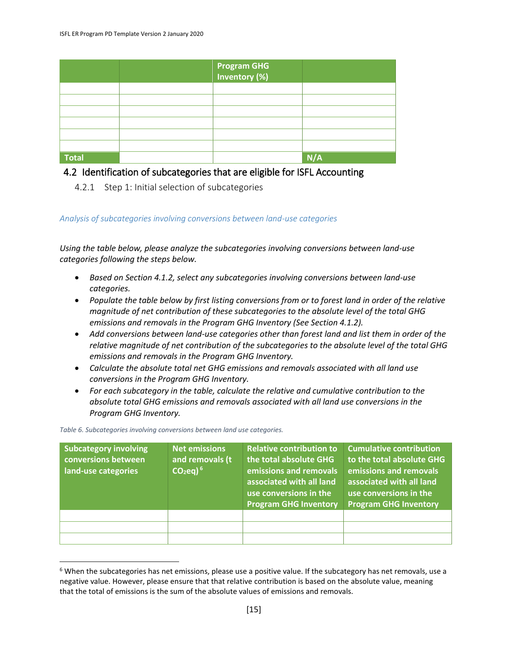|              | <b>Program GHG</b><br>Inventory (%) |     |
|--------------|-------------------------------------|-----|
|              |                                     |     |
|              |                                     |     |
|              |                                     |     |
|              |                                     |     |
|              |                                     |     |
|              |                                     |     |
| <b>Total</b> |                                     | N/A |

# 4.2 Identification of subcategories that are eligible for ISFL Accounting

4.2.1 Step 1: Initial selection of subcategories

*Analysis of subcategories involving conversions between land-use categories* 

*Using the table below, please analyze the subcategories involving conversions between land-use categories following the steps below.*

- *Based on Section 4.1.2, select any subcategories involving conversions between land-use categories.*
- *Populate the table below by first listing conversions from or to forest land in order of the relative magnitude of net contribution of these subcategories to the absolute level of the total GHG emissions and removals in the Program GHG Inventory (See Section 4.1.2).*
- *Add conversions between land-use categories other than forest land and list them in order of the relative magnitude of net contribution of the subcategories to the absolute level of the total GHG emissions and removals in the Program GHG Inventory.*
- *Calculate the absolute total net GHG emissions and removals associated with all land use conversions in the Program GHG Inventory.*
- *For each subcategory in the table, calculate the relative and cumulative contribution to the absolute total GHG emissions and removals associated with all land use conversions in the Program GHG Inventory.*

*Table 6. Subcategories involving conversions between land use categories.*

 $\overline{a}$ 

| <b>Subcategory involving</b><br>conversions between<br>land-use categories | <b>Net emissions</b><br>and removals (t)<br>$CO2$ eq) <sup>6</sup> | <b>Relative contribution to</b><br>the total absolute GHG<br>emissions and removals<br>associated with all land<br>use conversions in the<br><b>Program GHG Inventory</b> | <b>Cumulative contribution</b><br>to the total absolute GHG<br>emissions and removals<br>associated with all land<br>use conversions in the<br><b>Program GHG Inventory</b> |
|----------------------------------------------------------------------------|--------------------------------------------------------------------|---------------------------------------------------------------------------------------------------------------------------------------------------------------------------|-----------------------------------------------------------------------------------------------------------------------------------------------------------------------------|
|                                                                            |                                                                    |                                                                                                                                                                           |                                                                                                                                                                             |
|                                                                            |                                                                    |                                                                                                                                                                           |                                                                                                                                                                             |
|                                                                            |                                                                    |                                                                                                                                                                           |                                                                                                                                                                             |

<sup>&</sup>lt;sup>6</sup> When the subcategories has net emissions, please use a positive value. If the subcategory has net removals, use a negative value. However, please ensure that that relative contribution is based on the absolute value, meaning that the total of emissions is the sum of the absolute values of emissions and removals.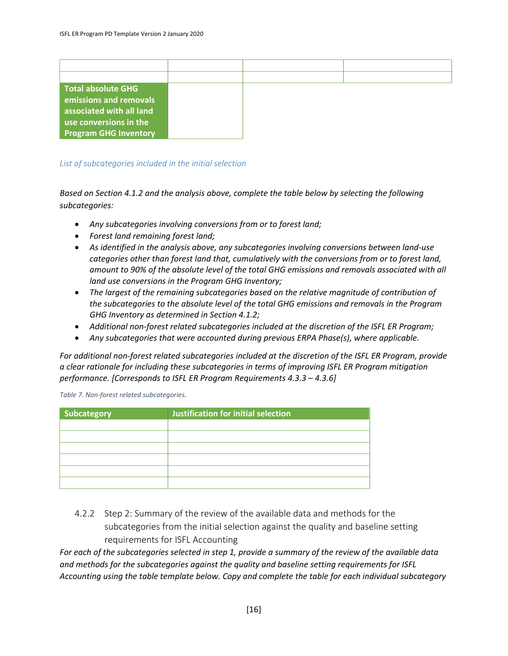| Total absolute GHG           |  |  |
|------------------------------|--|--|
| emissions and removals       |  |  |
| associated with all land     |  |  |
| use conversions in the       |  |  |
| <b>Program GHG Inventory</b> |  |  |

#### *List of subcategories included in the initial selection*

*Based on Section 4.1.2 and the analysis above, complete the table below by selecting the following subcategories:*

- *Any subcategories involving conversions from or to forest land;*
- *Forest land remaining forest land;*
- *As identified in the analysis above, any subcategories involving conversions between land-use categories other than forest land that, cumulatively with the conversions from or to forest land, amount to 90% of the absolute level of the total GHG emissions and removals associated with all land use conversions in the Program GHG Inventory;*
- *The largest of the remaining subcategories based on the relative magnitude of contribution of the subcategories to the absolute level of the total GHG emissions and removals in the Program GHG Inventory as determined in Section 4.1.2;*
- *Additional non-forest related subcategories included at the discretion of the ISFL ER Program;*
- *Any subcategories that were accounted during previous ERPA Phase(s), where applicable.*

*For additional non-forest related subcategories included at the discretion of the ISFL ER Program, provide a clear rationale for including these subcategories in terms of improving ISFL ER Program mitigation performance. [Corresponds to ISFL ER Program Requirements 4.3.3 – 4.3.6]* 

*Table 7. Non-forest related subcategories.*

| Subcategory | Justification for initial selection |
|-------------|-------------------------------------|
|             |                                     |
|             |                                     |
|             |                                     |
|             |                                     |
|             |                                     |
|             |                                     |

4.2.2 Step 2: Summary of the review of the available data and methods for the subcategories from the initial selection against the quality and baseline setting requirements for ISFL Accounting

*For each of the subcategories selected in step 1, provide a summary of the review of the available data and methods for the subcategories against the quality and baseline setting requirements for ISFL Accounting using the table template below. Copy and complete the table for each individual subcategory*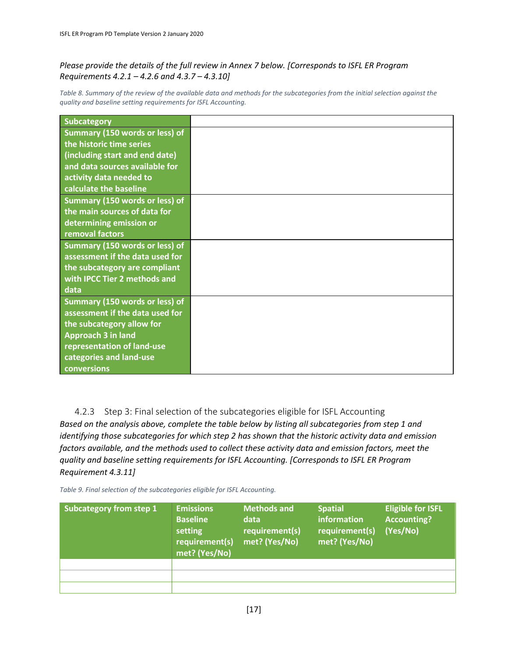#### *Please provide the details of the full review in Annex 7 below. [Corresponds to ISFL ER Program Requirements 4.2.1 – 4.2.6 and 4.3.7 – 4.3.10]*

Table 8. Summary of the review of the available data and methods for the subcategories from the initial selection against the *quality and baseline setting requirements for ISFL Accounting.*

| <b>Subcategory</b>                    |  |
|---------------------------------------|--|
| Summary (150 words or less) of        |  |
| the historic time series              |  |
| (including start and end date)        |  |
| and data sources available for        |  |
| activity data needed to               |  |
| calculate the baseline                |  |
| Summary (150 words or less) of        |  |
| the main sources of data for          |  |
| determining emission or               |  |
| removal factors                       |  |
| Summary (150 words or less) of        |  |
| assessment if the data used for       |  |
| the subcategory are compliant         |  |
| with IPCC Tier 2 methods and          |  |
| data                                  |  |
| <b>Summary (150 words or less) of</b> |  |
| assessment if the data used for       |  |
| the subcategory allow for             |  |
| <b>Approach 3 in land</b>             |  |
| representation of land-use            |  |
| categories and land-use               |  |
| conversions                           |  |

4.2.3 Step 3: Final selection of the subcategories eligible for ISFL Accounting *Based on the analysis above, complete the table below by listing all subcategories from step 1 and identifying those subcategories for which step 2 has shown that the historic activity data and emission factors available, and the methods used to collect these activity data and emission factors, meet the quality and baseline setting requirements for ISFL Accounting. [Corresponds to ISFL ER Program Requirement 4.3.11]* 

*Table 9. Final selection of the subcategories eligible for ISFL Accounting.*

| <b>Subcategory from step 1</b> | <b>Emissions</b><br><b>Baseline</b><br>setting<br>requirement(s)<br>met? (Yes/No) | <b>Methods and</b><br>data<br>requirement(s)<br>met? (Yes/No) | <b>Spatial</b><br>information<br>requirement(s)<br>met? (Yes/No) | <b>Eligible for ISFL</b><br><b>Accounting?</b><br>(Yes/No) |
|--------------------------------|-----------------------------------------------------------------------------------|---------------------------------------------------------------|------------------------------------------------------------------|------------------------------------------------------------|
|                                |                                                                                   |                                                               |                                                                  |                                                            |
|                                |                                                                                   |                                                               |                                                                  |                                                            |
|                                |                                                                                   |                                                               |                                                                  |                                                            |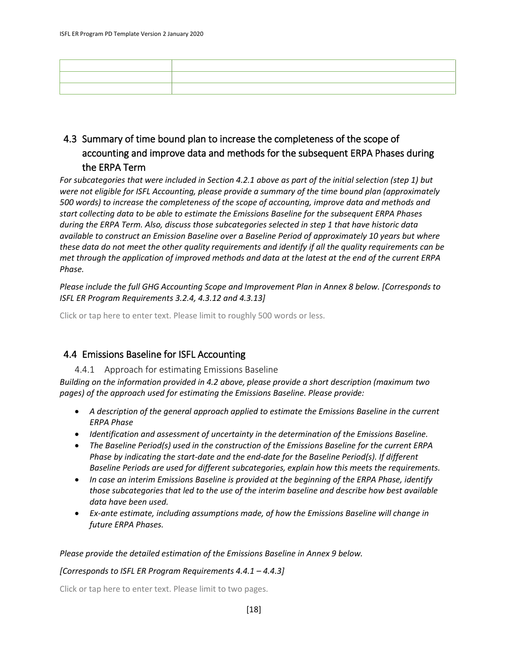# 4.3 Summary of time bound plan to increase the completeness of the scope of accounting and improve data and methods for the subsequent ERPA Phases during the ERPA Term

*For subcategories that were included in Section 4.2.1 above as part of the initial selection (step 1) but were not eligible for ISFL Accounting, please provide a summary of the time bound plan (approximately 500 words) to increase the completeness of the scope of accounting, improve data and methods and start collecting data to be able to estimate the Emissions Baseline for the subsequent ERPA Phases during the ERPA Term. Also, discuss those subcategories selected in step 1 that have historic data available to construct an Emission Baseline over a Baseline Period of approximately 10 years but where these data do not meet the other quality requirements and identify if all the quality requirements can be met through the application of improved methods and data at the latest at the end of the current ERPA Phase.* 

*Please include the full GHG Accounting Scope and Improvement Plan in Annex 8 below. [Corresponds to ISFL ER Program Requirements 3.2.4, 4.3.12 and 4.3.13]*

Click or tap here to enter text. Please limit to roughly 500 words or less.

# 4.4 Emissions Baseline for ISFL Accounting

4.4.1 Approach for estimating Emissions Baseline

*Building on the information provided in 4.2 above, please provide a short description (maximum two pages) of the approach used for estimating the Emissions Baseline. Please provide:*

- *A description of the general approach applied to estimate the Emissions Baseline in the current ERPA Phase*
- *Identification and assessment of uncertainty in the determination of the Emissions Baseline.*
- *The Baseline Period(s) used in the construction of the Emissions Baseline for the current ERPA Phase by indicating the start-date and the end-date for the Baseline Period(s). If different Baseline Periods are used for different subcategories, explain how this meets the requirements.*
- *In case an interim Emissions Baseline is provided at the beginning of the ERPA Phase, identify those subcategories that led to the use of the interim baseline and describe how best available data have been used.*
- *Ex-ante estimate, including assumptions made, of how the Emissions Baseline will change in future ERPA Phases.*

#### *Please provide the detailed estimation of the Emissions Baseline in Annex 9 below.*

#### *[Corresponds to ISFL ER Program Requirements 4.4.1 – 4.4.3]*

Click or tap here to enter text. Please limit to two pages.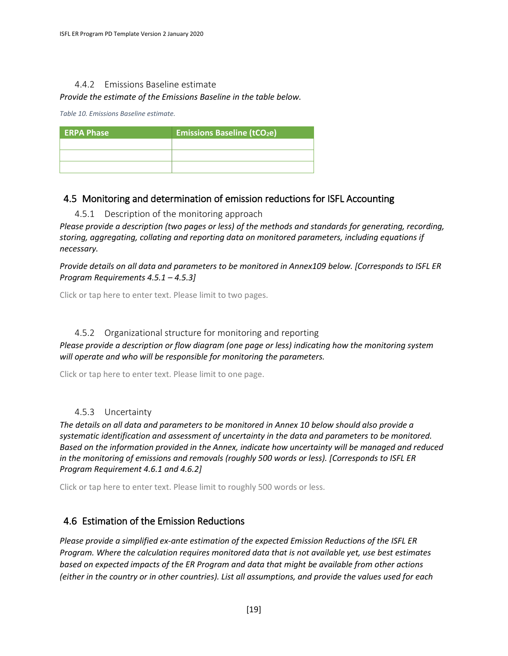#### 4.4.2 Emissions Baseline estimate

#### *Provide the estimate of the Emissions Baseline in the table below.*

*Table 10. Emissions Baseline estimate.*

| <b>ERPA Phase</b> | <b>Emissions Baseline (tCO2e)</b> |
|-------------------|-----------------------------------|
|                   |                                   |
|                   |                                   |
|                   |                                   |

# 4.5 Monitoring and determination of emission reductions for ISFL Accounting

4.5.1 Description of the monitoring approach

*Please provide a description (two pages or less) of the methods and standards for generating, recording, storing, aggregating, collating and reporting data on monitored parameters, including equations if necessary.*

*Provide details on all data and parameters to be monitored in Annex109 below. [Corresponds to ISFL ER Program Requirements 4.5.1 – 4.5.3]*

Click or tap here to enter text. Please limit to two pages.

### 4.5.2 Organizational structure for monitoring and reporting

*Please provide a description or flow diagram (one page or less) indicating how the monitoring system will operate and who will be responsible for monitoring the parameters.* 

Click or tap here to enter text. Please limit to one page.

### 4.5.3 Uncertainty

*The details on all data and parameters to be monitored in Annex 10 below should also provide a systematic identification and assessment of uncertainty in the data and parameters to be monitored. Based on the information provided in the Annex, indicate how uncertainty will be managed and reduced in the monitoring of emissions and removals (roughly 500 words or less). [Corresponds to ISFL ER Program Requirement 4.6.1 and 4.6.2]*

Click or tap here to enter text. Please limit to roughly 500 words or less.

# 4.6 Estimation of the Emission Reductions

*Please provide a simplified ex-ante estimation of the expected Emission Reductions of the ISFL ER Program. Where the calculation requires monitored data that is not available yet, use best estimates based on expected impacts of the ER Program and data that might be available from other actions (either in the country or in other countries). List all assumptions, and provide the values used for each*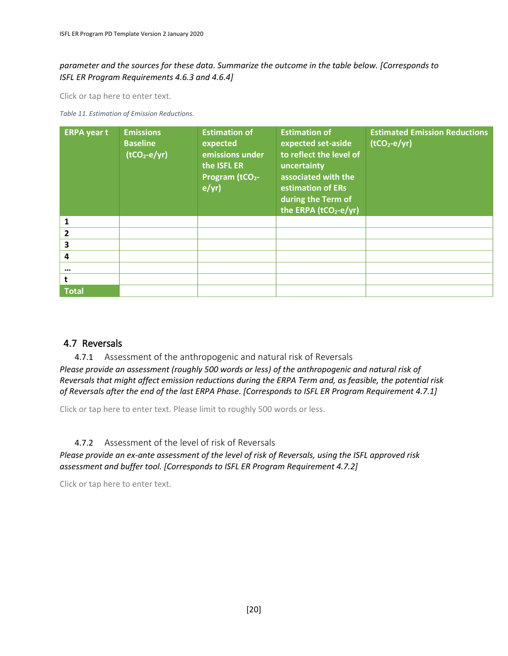### *parameter and the sources for these data. Summarize the outcome in the table below. [Corresponds to ISFL ER Program Requirements 4.6.3 and 4.6.4]*

Click or tap here to enter text.

*Table 11. Estimation of Emission Reductions.*

| <b>ERPA</b> year t | <b>Emissions</b><br><b>Baseline</b><br>$(tCO2-e/yr)$ | <b>Estimation of</b><br>expected<br>emissions under<br>the ISFL ER<br>Program (tCO <sub>2</sub> -<br>$e/yr$ ) | <b>Estimation of</b><br>expected set-aside<br>to reflect the level of<br>uncertainty<br>associated with the<br>estimation of ERs<br>during the Term of<br>the ERPA (tCO <sub>2-e/yr)</sub> | <b>Estimated Emission Reductions</b><br>$(tCO2-e/yr)$ |
|--------------------|------------------------------------------------------|---------------------------------------------------------------------------------------------------------------|--------------------------------------------------------------------------------------------------------------------------------------------------------------------------------------------|-------------------------------------------------------|
| 1                  |                                                      |                                                                                                               |                                                                                                                                                                                            |                                                       |
| $\overline{2}$     |                                                      |                                                                                                               |                                                                                                                                                                                            |                                                       |
| 3                  |                                                      |                                                                                                               |                                                                                                                                                                                            |                                                       |
| 4                  |                                                      |                                                                                                               |                                                                                                                                                                                            |                                                       |
| $\cdots$           |                                                      |                                                                                                               |                                                                                                                                                                                            |                                                       |
|                    |                                                      |                                                                                                               |                                                                                                                                                                                            |                                                       |
| <b>Total</b>       |                                                      |                                                                                                               |                                                                                                                                                                                            |                                                       |

### 4.7 Reversals

4.7.1 Assessment of the anthropogenic and natural risk of Reversals *Please provide an assessment (roughly 500 words or less) of the anthropogenic and natural risk of Reversals that might affect emission reductions during the ERPA Term and, as feasible, the potential risk of Reversals after the end of the last ERPA Phase. [Corresponds to ISFL ER Program Requirement 4.7.1]*

Click or tap here to enter text. Please limit to roughly 500 words or less.

### 4.7.2 Assessment of the level of risk of Reversals

*Please provide an ex-ante assessment of the level of risk of Reversals, using the ISFL approved risk assessment and buffer tool. [Corresponds to ISFL ER Program Requirement 4.7.2]*

Click or tap here to enter text.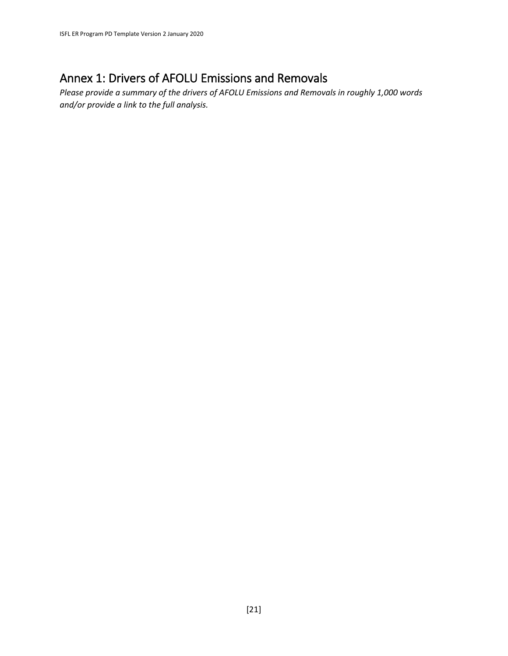# Annex 1: Drivers of AFOLU Emissions and Removals

*Please provide a summary of the drivers of AFOLU Emissions and Removals in roughly 1,000 words and/or provide a link to the full analysis.*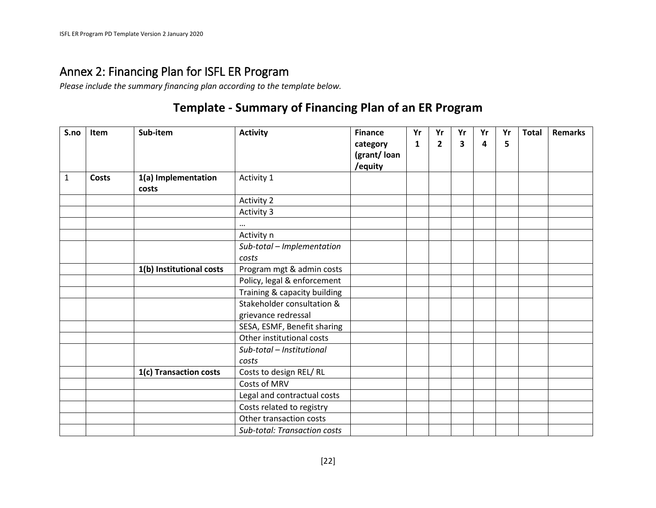# Annex 2: Financing Plan for ISFL ER Program

*Please include the summary financing plan according to the template below.*

# **Template - Summary of Financing Plan of an ER Program**

| S.no         | Item         | Sub-item                     | <b>Activity</b>                     | <b>Finance</b><br>category<br>(grant/loan | Yr<br>1 | Yr<br>$\overline{2}$ | Yr<br>3 | Yr<br>4 | Yr<br>5 | <b>Total</b> | <b>Remarks</b> |
|--------------|--------------|------------------------------|-------------------------------------|-------------------------------------------|---------|----------------------|---------|---------|---------|--------------|----------------|
|              |              |                              |                                     | /equity                                   |         |                      |         |         |         |              |                |
| $\mathbf{1}$ | <b>Costs</b> | 1(a) Implementation<br>costs | Activity 1                          |                                           |         |                      |         |         |         |              |                |
|              |              |                              | <b>Activity 2</b>                   |                                           |         |                      |         |         |         |              |                |
|              |              |                              | Activity 3                          |                                           |         |                      |         |         |         |              |                |
|              |              |                              | $\cdots$                            |                                           |         |                      |         |         |         |              |                |
|              |              |                              | Activity n                          |                                           |         |                      |         |         |         |              |                |
|              |              |                              | Sub-total - Implementation          |                                           |         |                      |         |         |         |              |                |
|              |              |                              | costs                               |                                           |         |                      |         |         |         |              |                |
|              |              | 1(b) Institutional costs     | Program mgt & admin costs           |                                           |         |                      |         |         |         |              |                |
|              |              |                              | Policy, legal & enforcement         |                                           |         |                      |         |         |         |              |                |
|              |              |                              | Training & capacity building        |                                           |         |                      |         |         |         |              |                |
|              |              |                              | Stakeholder consultation &          |                                           |         |                      |         |         |         |              |                |
|              |              |                              | grievance redressal                 |                                           |         |                      |         |         |         |              |                |
|              |              |                              | SESA, ESMF, Benefit sharing         |                                           |         |                      |         |         |         |              |                |
|              |              |                              | Other institutional costs           |                                           |         |                      |         |         |         |              |                |
|              |              |                              | Sub-total - Institutional           |                                           |         |                      |         |         |         |              |                |
|              |              |                              | costs                               |                                           |         |                      |         |         |         |              |                |
|              |              | 1(c) Transaction costs       | Costs to design REL/RL              |                                           |         |                      |         |         |         |              |                |
|              |              |                              | Costs of MRV                        |                                           |         |                      |         |         |         |              |                |
|              |              |                              | Legal and contractual costs         |                                           |         |                      |         |         |         |              |                |
|              |              |                              | Costs related to registry           |                                           |         |                      |         |         |         |              |                |
|              |              |                              | Other transaction costs             |                                           |         |                      |         |         |         |              |                |
|              |              |                              | <b>Sub-total: Transaction costs</b> |                                           |         |                      |         |         |         |              |                |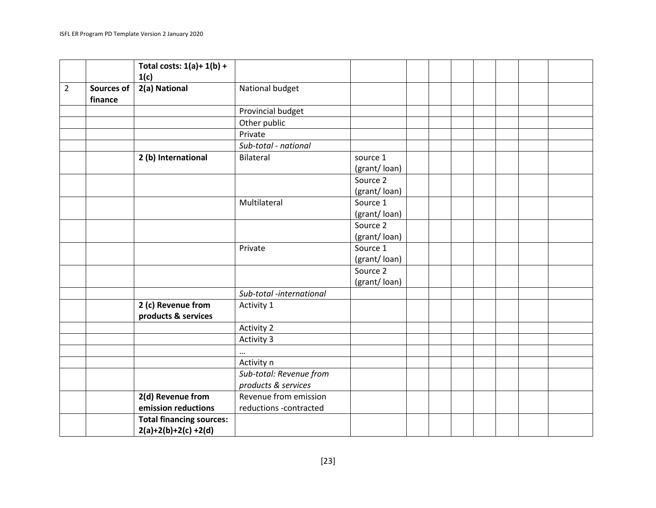|                |                              | Total costs: $1(a) + 1(b) +$<br>1(c)      |                                                |                          |  |  |  |  |
|----------------|------------------------------|-------------------------------------------|------------------------------------------------|--------------------------|--|--|--|--|
| $\overline{2}$ | <b>Sources of</b><br>finance | 2(a) National                             | National budget                                |                          |  |  |  |  |
|                |                              |                                           | Provincial budget                              |                          |  |  |  |  |
|                |                              |                                           | Other public                                   |                          |  |  |  |  |
|                |                              |                                           | Private                                        |                          |  |  |  |  |
|                |                              |                                           | Sub-total - national                           |                          |  |  |  |  |
|                |                              | 2 (b) International                       | Bilateral                                      | source 1<br>(grant/loan) |  |  |  |  |
|                |                              |                                           |                                                | Source 2<br>(grant/loan) |  |  |  |  |
|                |                              |                                           | Multilateral                                   | Source 1<br>(grant/loan) |  |  |  |  |
|                |                              |                                           |                                                | Source 2<br>(grant/loan) |  |  |  |  |
|                |                              |                                           | Private                                        | Source 1<br>(grant/loan) |  |  |  |  |
|                |                              |                                           |                                                | Source 2<br>(grant/loan) |  |  |  |  |
|                |                              |                                           | Sub-total -international                       |                          |  |  |  |  |
|                |                              | 2 (c) Revenue from<br>products & services | Activity 1                                     |                          |  |  |  |  |
|                |                              |                                           | <b>Activity 2</b>                              |                          |  |  |  |  |
|                |                              |                                           | Activity 3                                     |                          |  |  |  |  |
|                |                              |                                           | $\cdots$                                       |                          |  |  |  |  |
|                |                              |                                           | Activity n                                     |                          |  |  |  |  |
|                |                              |                                           | Sub-total: Revenue from<br>products & services |                          |  |  |  |  |
|                |                              | 2(d) Revenue from                         | Revenue from emission                          |                          |  |  |  |  |
|                |                              | emission reductions                       | reductions -contracted                         |                          |  |  |  |  |
|                |                              | <b>Total financing sources:</b>           |                                                |                          |  |  |  |  |
|                |                              | $2(a)+2(b)+2(c)+2(d)$                     |                                                |                          |  |  |  |  |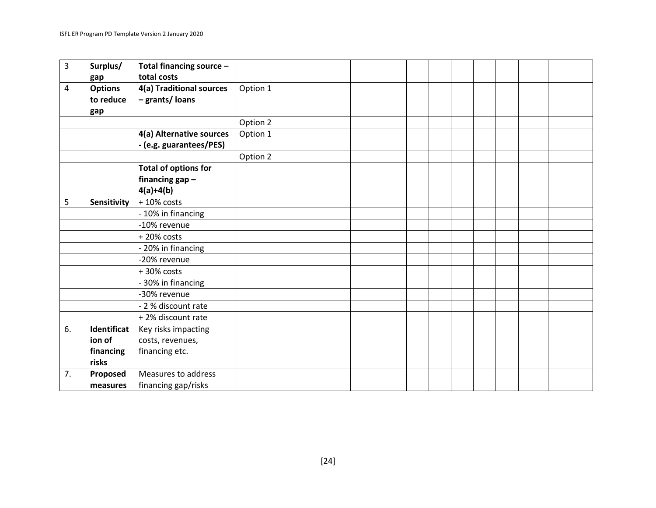| 3  | Surplus/           | Total financing source -    |          |  |  |  |  |
|----|--------------------|-----------------------------|----------|--|--|--|--|
|    | gap                | total costs                 |          |  |  |  |  |
| 4  | <b>Options</b>     | 4(a) Traditional sources    | Option 1 |  |  |  |  |
|    | to reduce          | - grants/ loans             |          |  |  |  |  |
|    | gap                |                             |          |  |  |  |  |
|    |                    |                             | Option 2 |  |  |  |  |
|    |                    | 4(a) Alternative sources    | Option 1 |  |  |  |  |
|    |                    | - (e.g. guarantees/PES)     |          |  |  |  |  |
|    |                    |                             | Option 2 |  |  |  |  |
|    |                    | <b>Total of options for</b> |          |  |  |  |  |
|    |                    | financing $gap -$           |          |  |  |  |  |
|    |                    | $4(a)+4(b)$                 |          |  |  |  |  |
| 5  | <b>Sensitivity</b> | $+10\%$ costs               |          |  |  |  |  |
|    |                    | - 10% in financing          |          |  |  |  |  |
|    |                    | -10% revenue                |          |  |  |  |  |
|    |                    | $+20\%$ costs               |          |  |  |  |  |
|    |                    | - 20% in financing          |          |  |  |  |  |
|    |                    | -20% revenue                |          |  |  |  |  |
|    |                    | +30% costs                  |          |  |  |  |  |
|    |                    | - 30% in financing          |          |  |  |  |  |
|    |                    | -30% revenue                |          |  |  |  |  |
|    |                    | - 2 % discount rate         |          |  |  |  |  |
|    |                    | +2% discount rate           |          |  |  |  |  |
| 6. | Identificat        | Key risks impacting         |          |  |  |  |  |
|    | ion of             | costs, revenues,            |          |  |  |  |  |
|    | financing          | financing etc.              |          |  |  |  |  |
|    | risks              |                             |          |  |  |  |  |
| 7. | Proposed           | Measures to address         |          |  |  |  |  |
|    | measures           | financing gap/risks         |          |  |  |  |  |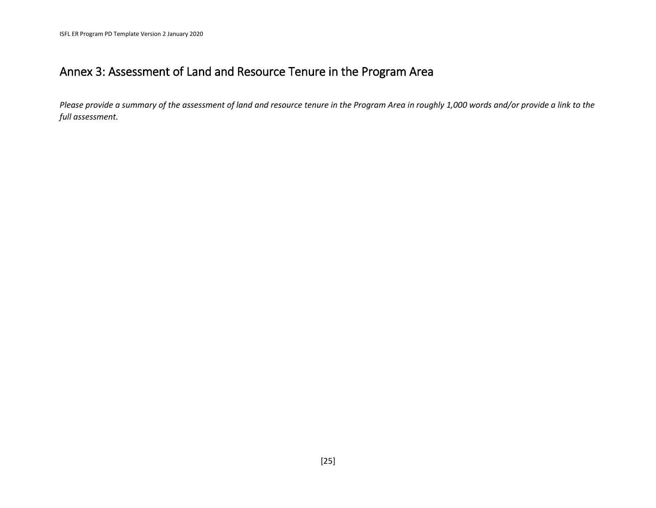# Annex 3: Assessment of Land and Resource Tenure in the Program Area

*Please provide a summary of the assessment of land and resource tenure in the Program Area in roughly 1,000 words and/or provide a link to the full assessment.*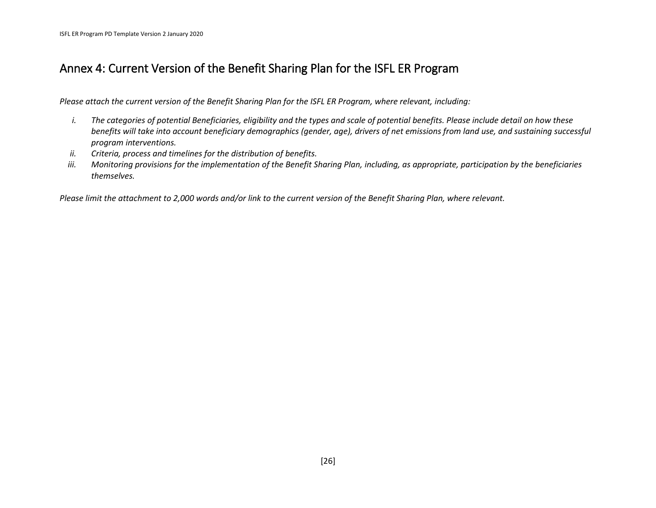# Annex 4: Current Version of the Benefit Sharing Plan for the ISFL ER Program

*Please attach the current version of the Benefit Sharing Plan for the ISFL ER Program, where relevant, including:*

- *i. The categories of potential Beneficiaries, eligibility and the types and scale of potential benefits. Please include detail on how these benefits will take into account beneficiary demographics (gender, age), drivers of net emissions from land use, and sustaining successful program interventions.*
- *ii. Criteria, process and timelines for the distribution of benefits.*
- *iii. Monitoring provisions for the implementation of the Benefit Sharing Plan, including, as appropriate, participation by the beneficiaries themselves.*

*Please limit the attachment to 2,000 words and/or link to the current version of the Benefit Sharing Plan, where relevant.*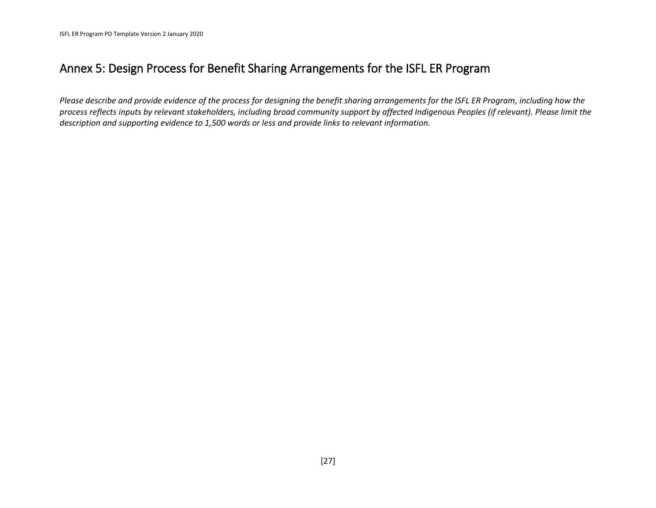# Annex 5: Design Process for Benefit Sharing Arrangements for the ISFL ER Program

*Please describe and provide evidence of the process for designing the benefit sharing arrangements for the ISFL ER Program, including how the process reflects inputs by relevant stakeholders, including broad community support by affected Indigenous Peoples (if relevant). Please limit the description and supporting evidence to 1,500 words or less and provide links to relevant information.*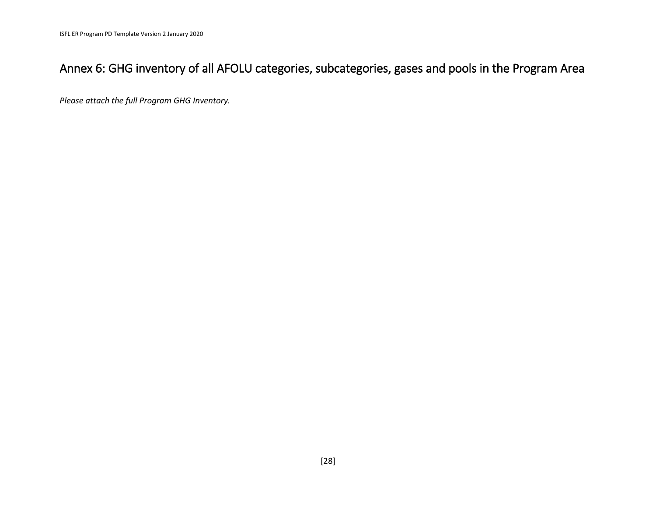# Annex 6: GHG inventory of all AFOLU categories, subcategories, gases and pools in the Program Area

*Please attach the full Program GHG Inventory.*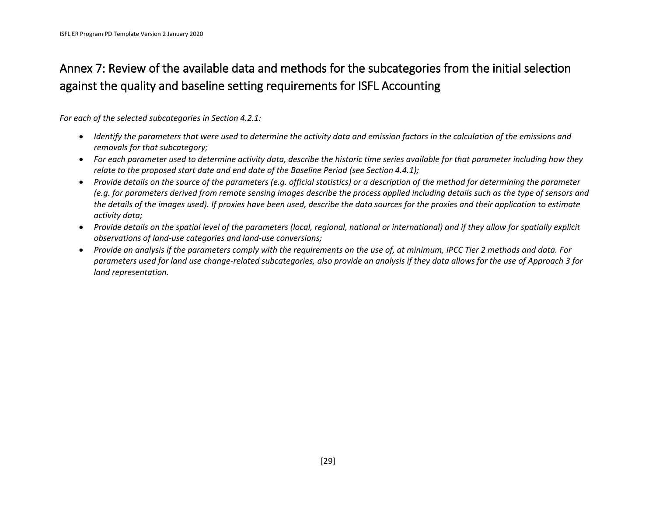# Annex 7: Review of the available data and methods for the subcategories from the initial selection against the quality and baseline setting requirements for ISFL Accounting

*For each of the selected subcategories in Section 4.2.1:*

- *Identify the parameters that were used to determine the activity data and emission factors in the calculation of the emissions and removals for that subcategory;*
- *For each parameter used to determine activity data, describe the historic time series available for that parameter including how they relate to the proposed start date and end date of the Baseline Period (see Section 4.4.1);*
- *Provide details on the source of the parameters (e.g. official statistics) or a description of the method for determining the parameter (e.g. for parameters derived from remote sensing images describe the process applied including details such as the type of sensors and the details of the images used). If proxies have been used, describe the data sources for the proxies and their application to estimate activity data;*
- *Provide details on the spatial level of the parameters (local, regional, national or international) and if they allow for spatially explicit observations of land-use categories and land-use conversions;*
- *Provide an analysis if the parameters comply with the requirements on the use of, at minimum, IPCC Tier 2 methods and data. For parameters used for land use change-related subcategories, also provide an analysis if they data allows for the use of Approach 3 for land representation.*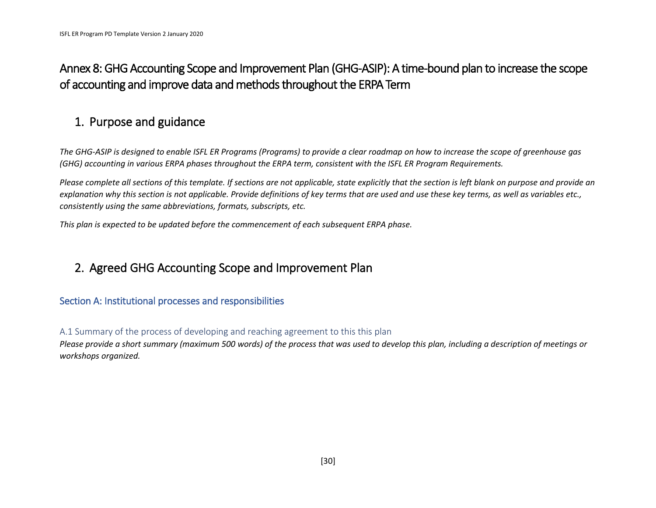# Annex 8: GHG Accounting Scope and Improvement Plan (GHG-ASIP): A time-bound plan to increase the scope of accounting and improve data and methods throughout the ERPA Term

# 1. Purpose and guidance

*The GHG-ASIP is designed to enable ISFL ER Programs (Programs) to provide a clear roadmap on how to increase the scope of greenhouse gas (GHG) accounting in various ERPA phases throughout the ERPA term, consistent with the ISFL ER Program Requirements.* 

*Please complete all sections of this template. If sections are not applicable, state explicitly that the section is left blank on purpose and provide an explanation why this section is not applicable. Provide definitions of key terms that are used and use these key terms, as well as variables etc., consistently using the same abbreviations, formats, subscripts, etc.* 

*This plan is expected to be updated before the commencement of each subsequent ERPA phase.*

# 2. Agreed GHG Accounting Scope and Improvement Plan

# Section A: Institutional processes and responsibilities

A.1 Summary of the process of developing and reaching agreement to this this plan

*Please provide a short summary (maximum 500 words) of the process that was used to develop this plan, including a description of meetings or workshops organized.*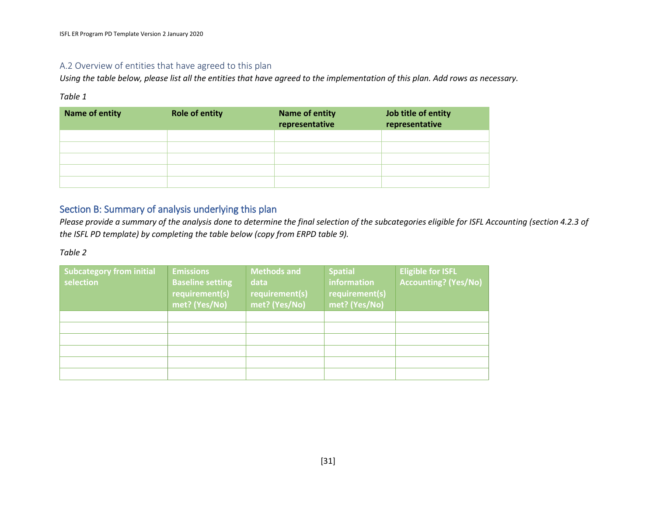### A.2 Overview of entities that have agreed to this plan

*Using the table below, please list all the entities that have agreed to the implementation of this plan. Add rows as necessary.*

#### *Table 1*

| Name of entity | <b>Role of entity</b> | Name of entity<br>representative | Job title of entity<br>representative |
|----------------|-----------------------|----------------------------------|---------------------------------------|
|                |                       |                                  |                                       |
|                |                       |                                  |                                       |
|                |                       |                                  |                                       |
|                |                       |                                  |                                       |
|                |                       |                                  |                                       |

# Section B: Summary of analysis underlying this plan

*Please provide a summary of the analysis done to determine the final selection of the subcategories eligible for ISFL Accounting (section 4.2.3 of the ISFL PD template) by completing the table below (copy from ERPD table 9).* 

| <b>Subcategory from initial</b> | <b>Emissions</b>        | <b>Methods and</b> | <b>Spatial</b> | <b>Eligible for ISFL</b>    |
|---------------------------------|-------------------------|--------------------|----------------|-----------------------------|
| selection                       | <b>Baseline setting</b> | data               | information    | <b>Accounting? (Yes/No)</b> |
|                                 | requirement(s)          | requirement(s)     | requirement(s) |                             |
|                                 | met? (Yes/No)           | met? (Yes/No)      | met? (Yes/No)  |                             |
|                                 |                         |                    |                |                             |
|                                 |                         |                    |                |                             |
|                                 |                         |                    |                |                             |
|                                 |                         |                    |                |                             |
|                                 |                         |                    |                |                             |
|                                 |                         |                    |                |                             |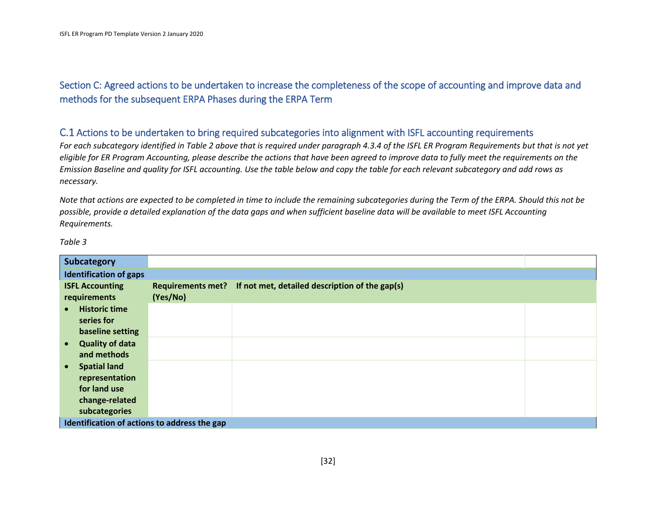# Section C: Agreed actions to be undertaken to increase the completeness of the scope of accounting and improve data and methods for the subsequent ERPA Phases during the ERPA Term

#### C.1 Actions to be undertaken to bring required subcategories into alignment with ISFL accounting requirements

*For each subcategory identified in Table 2 above that is required under paragraph 4.3.4 of the ISFL ER Program Requirements but that is not yet eligible for ER Program Accounting, please describe the actions that have been agreed to improve data to fully meet the requirements on the Emission Baseline and quality for ISFL accounting. Use the table below and copy the table for each relevant subcategory and add rows as necessary.* 

*Note that actions are expected to be completed in time to include the remaining subcategories during the Term of the ERPA. Should this not be possible, provide a detailed explanation of the data gaps and when sufficient baseline data will be available to meet ISFL Accounting Requirements.* 

| Subcategory                                                                          |          |                                                                  |  |
|--------------------------------------------------------------------------------------|----------|------------------------------------------------------------------|--|
| <b>Identification of gaps</b>                                                        |          |                                                                  |  |
| <b>ISFL Accounting</b><br>requirements                                               | (Yes/No) | Requirements met? If not met, detailed description of the gap(s) |  |
| <b>Historic time</b><br>series for<br>baseline setting                               |          |                                                                  |  |
| <b>Quality of data</b><br>$\bullet$<br>and methods                                   |          |                                                                  |  |
| <b>Spatial land</b><br>$\bullet$<br>representation<br>for land use<br>change-related |          |                                                                  |  |
| subcategories<br>Identification of actions to address the gap                        |          |                                                                  |  |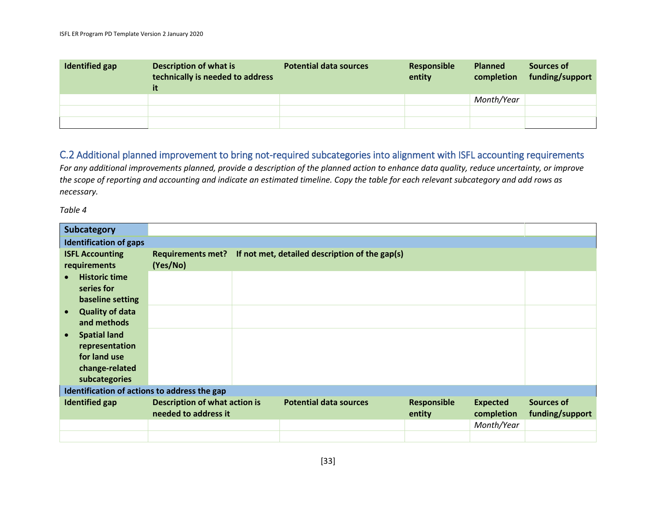| Identified gap | <b>Description of what is</b><br>technically is needed to address<br>it | <b>Potential data sources</b> | Responsible<br>entity | <b>Planned</b><br>completion | <b>Sources of</b><br>funding/support |
|----------------|-------------------------------------------------------------------------|-------------------------------|-----------------------|------------------------------|--------------------------------------|
|                |                                                                         |                               |                       | Month/Year                   |                                      |
|                |                                                                         |                               |                       |                              |                                      |
|                |                                                                         |                               |                       |                              |                                      |

# C.2 Additional planned improvement to bring not-required subcategories into alignment with ISFL accounting requirements

*For any additional improvements planned, provide a description of the planned action to enhance data quality, reduce uncertainty, or improve the scope of reporting and accounting and indicate an estimated timeline. Copy the table for each relevant subcategory and add rows as necessary.* 

| <b>Subcategory</b>                                                                                    |                                                              |                                                |                              |                               |                               |
|-------------------------------------------------------------------------------------------------------|--------------------------------------------------------------|------------------------------------------------|------------------------------|-------------------------------|-------------------------------|
| <b>Identification of gaps</b>                                                                         |                                                              |                                                |                              |                               |                               |
| <b>ISFL Accounting</b><br>requirements                                                                | <b>Requirements met?</b><br>(Yes/No)                         | If not met, detailed description of the gap(s) |                              |                               |                               |
| <b>Historic time</b><br>series for<br>baseline setting                                                |                                                              |                                                |                              |                               |                               |
| <b>Quality of data</b><br>and methods                                                                 |                                                              |                                                |                              |                               |                               |
| <b>Spatial land</b><br>$\bullet$<br>representation<br>for land use<br>change-related<br>subcategories |                                                              |                                                |                              |                               |                               |
| Identification of actions to address the gap                                                          |                                                              |                                                |                              |                               |                               |
| <b>Identified gap</b>                                                                                 | <b>Description of what action is</b><br>needed to address it | <b>Potential data sources</b>                  | <b>Responsible</b><br>entity | <b>Expected</b><br>completion | Sources of<br>funding/support |
|                                                                                                       |                                                              |                                                |                              | Month/Year                    |                               |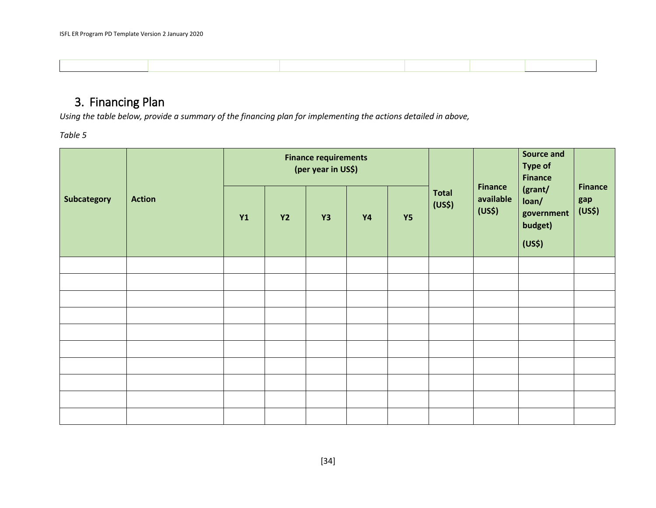# 3. Financing Plan

*Using the table below, provide a summary of the financing plan for implementing the actions detailed in above,* 

| Subcategory | <b>Action</b> | <b>Finance requirements</b><br>(per year in US\$) |           |    |           |           |                                    | <b>Finance</b>      | Source and<br><b>Type of</b><br><b>Finance</b>                  |                                 |
|-------------|---------------|---------------------------------------------------|-----------|----|-----------|-----------|------------------------------------|---------------------|-----------------------------------------------------------------|---------------------------------|
|             |               | <b>Y1</b>                                         | <b>Y2</b> | Y3 | <b>Y4</b> | <b>Y5</b> | <b>Total</b><br>(US <sup>5</sup> ) | available<br>(US\$) | (grant/<br>loan/<br>government<br>budget)<br>(US <sup>5</sup> ) | <b>Finance</b><br>gap<br>(US\$) |
|             |               |                                                   |           |    |           |           |                                    |                     |                                                                 |                                 |
|             |               |                                                   |           |    |           |           |                                    |                     |                                                                 |                                 |
|             |               |                                                   |           |    |           |           |                                    |                     |                                                                 |                                 |
|             |               |                                                   |           |    |           |           |                                    |                     |                                                                 |                                 |
|             |               |                                                   |           |    |           |           |                                    |                     |                                                                 |                                 |
|             |               |                                                   |           |    |           |           |                                    |                     |                                                                 |                                 |
|             |               |                                                   |           |    |           |           |                                    |                     |                                                                 |                                 |
|             |               |                                                   |           |    |           |           |                                    |                     |                                                                 |                                 |
|             |               |                                                   |           |    |           |           |                                    |                     |                                                                 |                                 |
|             |               |                                                   |           |    |           |           |                                    |                     |                                                                 |                                 |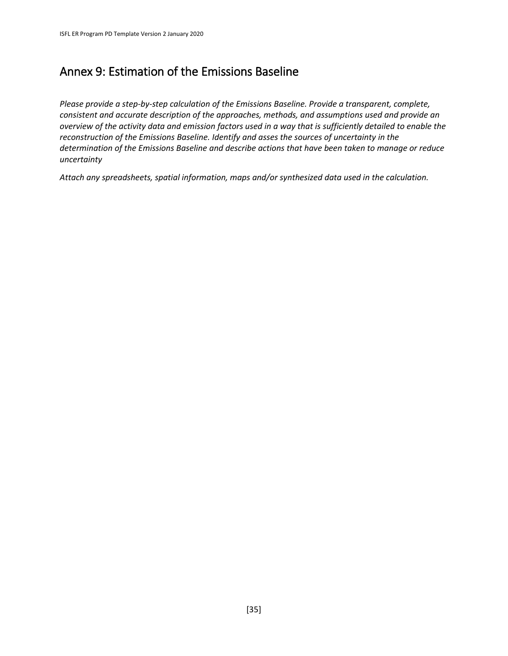# Annex 9: Estimation of the Emissions Baseline

*Please provide a step-by-step calculation of the Emissions Baseline. Provide a transparent, complete, consistent and accurate description of the approaches, methods, and assumptions used and provide an overview of the activity data and emission factors used in a way that is sufficiently detailed to enable the reconstruction of the Emissions Baseline. Identify and asses the sources of uncertainty in the determination of the Emissions Baseline and describe actions that have been taken to manage or reduce uncertainty*

*Attach any spreadsheets, spatial information, maps and/or synthesized data used in the calculation.*